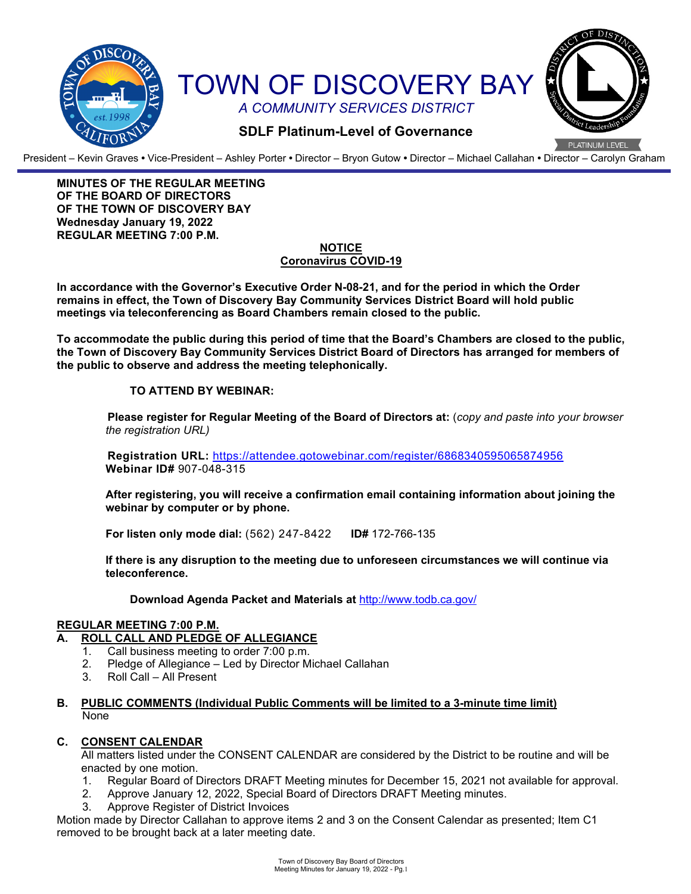

President – Kevin Graves **•** Vice-President – Ashley Porter **•** Director – Bryon Gutow **•** Director – Michael Callahan **•** Director – Carolyn Graham

**MINUTES OF THE REGULAR MEETING OF THE BOARD OF DIRECTORS OF THE TOWN OF DISCOVERY BAY Wednesday January 19, 2022 REGULAR MEETING 7:00 P.M.**

#### **NOTICE Coronavirus COVID-19**

**In accordance with the Governor's Executive Order N-08-21, and for the period in which the Order remains in effect, the Town of Discovery Bay Community Services District Board will hold public meetings via teleconferencing as Board Chambers remain closed to the public.**

**To accommodate the public during this period of time that the Board's Chambers are closed to the public, the Town of Discovery Bay Community Services District Board of Directors has arranged for members of the public to observe and address the meeting telephonically.** 

## **TO ATTEND BY WEBINAR:**

**Please register for Regular Meeting of the Board of Directors at:** (*copy and paste into your browser the registration URL)*

**Registration URL:** https://attendee.gotowebinar.com/register/6868340595065874956 **Webinar ID#** 907-048-315

**After registering, you will receive a confirmation email containing information about joining the webinar by computer or by phone.**

**For listen only mode dial:** (562) 247-8422 **ID#** 172-766-135

**If there is any disruption to the meeting due to unforeseen circumstances we will continue via teleconference.**

**Download Agenda Packet and Materials at** http:/[/www.todb.ca.gov/](http://www.todb.ca.gov/)

## **REGULAR MEETING 7:00 P.M.**

## **A. ROLL CALL AND PLEDGE OF ALLEGIANCE**

- 1. Call business meeting to order 7:00 p.m.
- 2. Pledge of Allegiance Led by Director Michael Callahan
- 3. Roll Call All Present
- **B. PUBLIC COMMENTS (Individual Public Comments will be limited to a 3-minute time limit)** None

## **C. CONSENT CALENDAR**

All matters listed under the CONSENT CALENDAR are considered by the District to be routine and will be enacted by one motion.

- 1. Regular Board of Directors DRAFT Meeting minutes for December 15, 2021 not available for approval.
- 2. Approve January 12, 2022, Special Board of Directors DRAFT Meeting minutes.
- 3. Approve Register of District Invoices

Motion made by Director Callahan to approve items 2 and 3 on the Consent Calendar as presented; Item C1 removed to be brought back at a later meeting date.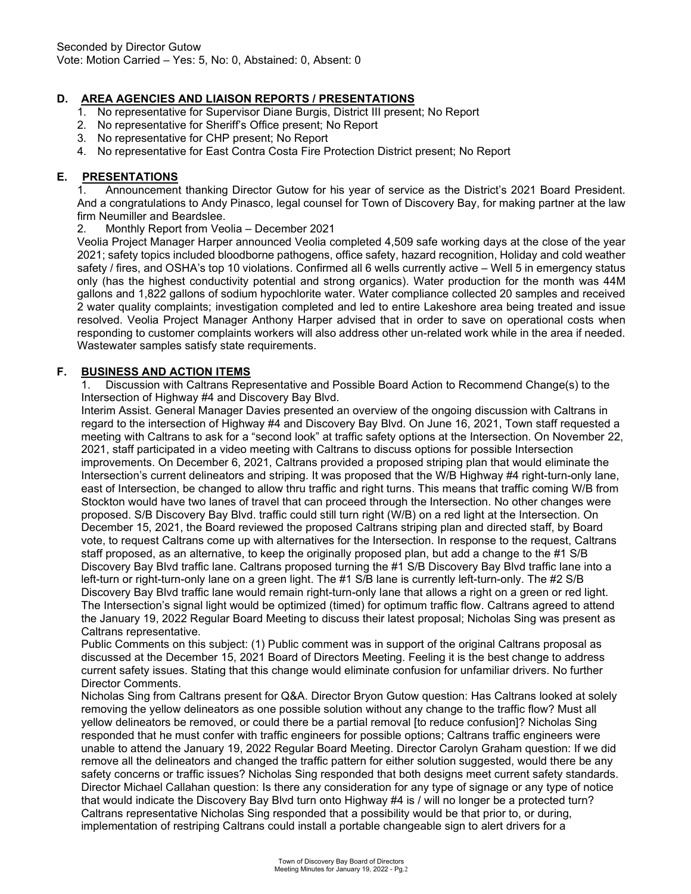# **D. AREA AGENCIES AND LIAISON REPORTS / PRESENTATIONS**

- 1. No representative for Supervisor Diane Burgis, District III present; No Report
- 2. No representative for Sheriff's Office present; No Report
- 3. No representative for CHP present; No Report
- 4. No representative for East Contra Costa Fire Protection District present; No Report

## **E. PRESENTATIONS**

1. Announcement thanking Director Gutow for his year of service as the District's 2021 Board President. And a congratulations to Andy Pinasco, legal counsel for Town of Discovery Bay, for making partner at the law firm Neumiller and Beardslee.<br>2. Monthly Report from Vec

2. Monthly Report from Veolia – December 2021

Veolia Project Manager Harper announced Veolia completed 4,509 safe working days at the close of the year 2021; safety topics included bloodborne pathogens, office safety, hazard recognition, Holiday and cold weather safety / fires, and OSHA's top 10 violations. Confirmed all 6 wells currently active – Well 5 in emergency status only (has the highest conductivity potential and strong organics). Water production for the month was 44M gallons and 1,822 gallons of sodium hypochlorite water. Water compliance collected 20 samples and received 2 water quality complaints; investigation completed and led to entire Lakeshore area being treated and issue resolved. Veolia Project Manager Anthony Harper advised that in order to save on operational costs when responding to customer complaints workers will also address other un-related work while in the area if needed. Wastewater samples satisfy state requirements.

## **F. BUSINESS AND ACTION ITEMS**

1. Discussion with Caltrans Representative and Possible Board Action to Recommend Change(s) to the Intersection of Highway #4 and Discovery Bay Blvd.

Interim Assist. General Manager Davies presented an overview of the ongoing discussion with Caltrans in regard to the intersection of Highway #4 and Discovery Bay Blvd. On June 16, 2021, Town staff requested a meeting with Caltrans to ask for a "second look" at traffic safety options at the Intersection. On November 22, 2021, staff participated in a video meeting with Caltrans to discuss options for possible Intersection improvements. On December 6, 2021, Caltrans provided a proposed striping plan that would eliminate the Intersection's current delineators and striping. It was proposed that the W/B Highway #4 right-turn-only lane, east of Intersection, be changed to allow thru traffic and right turns. This means that traffic coming W/B from Stockton would have two lanes of travel that can proceed through the Intersection. No other changes were proposed. S/B Discovery Bay Blvd. traffic could still turn right (W/B) on a red light at the Intersection. On December 15, 2021, the Board reviewed the proposed Caltrans striping plan and directed staff, by Board vote, to request Caltrans come up with alternatives for the Intersection. In response to the request, Caltrans staff proposed, as an alternative, to keep the originally proposed plan, but add a change to the #1 S/B Discovery Bay Blvd traffic lane. Caltrans proposed turning the #1 S/B Discovery Bay Blvd traffic lane into a left-turn or right-turn-only lane on a green light. The #1 S/B lane is currently left-turn-only. The #2 S/B Discovery Bay Blvd traffic lane would remain right-turn-only lane that allows a right on a green or red light. The Intersection's signal light would be optimized (timed) for optimum traffic flow. Caltrans agreed to attend the January 19, 2022 Regular Board Meeting to discuss their latest proposal; Nicholas Sing was present as Caltrans representative.

Public Comments on this subject: (1) Public comment was in support of the original Caltrans proposal as discussed at the December 15, 2021 Board of Directors Meeting. Feeling it is the best change to address current safety issues. Stating that this change would eliminate confusion for unfamiliar drivers. No further Director Comments.

Nicholas Sing from Caltrans present for Q&A. Director Bryon Gutow question: Has Caltrans looked at solely removing the yellow delineators as one possible solution without any change to the traffic flow? Must all yellow delineators be removed, or could there be a partial removal [to reduce confusion]? Nicholas Sing responded that he must confer with traffic engineers for possible options; Caltrans traffic engineers were unable to attend the January 19, 2022 Regular Board Meeting. Director Carolyn Graham question: If we did remove all the delineators and changed the traffic pattern for either solution suggested, would there be any safety concerns or traffic issues? Nicholas Sing responded that both designs meet current safety standards. Director Michael Callahan question: Is there any consideration for any type of signage or any type of notice that would indicate the Discovery Bay Blvd turn onto Highway #4 is / will no longer be a protected turn? Caltrans representative Nicholas Sing responded that a possibility would be that prior to, or during, implementation of restriping Caltrans could install a portable changeable sign to alert drivers for a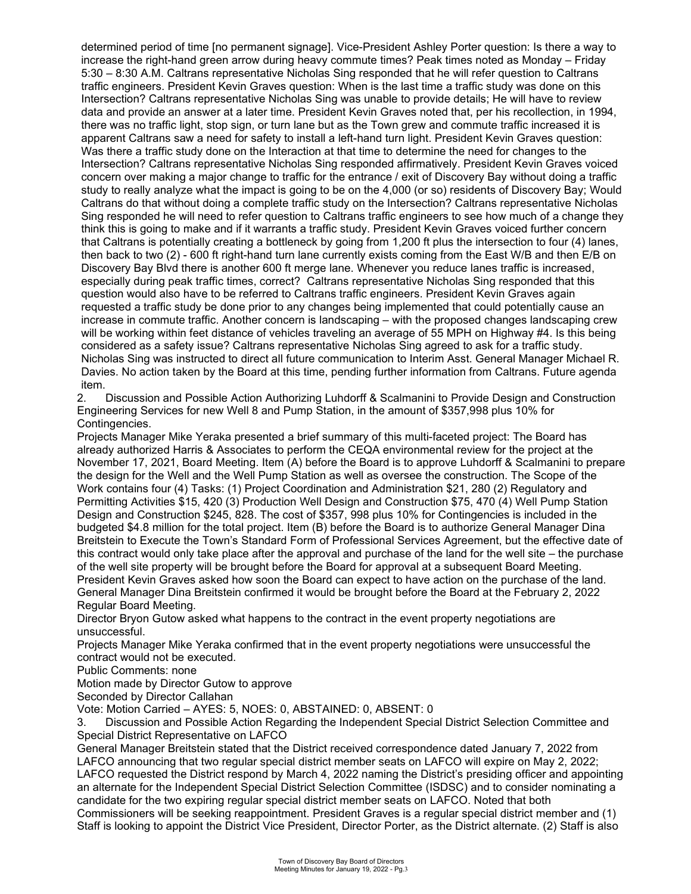determined period of time [no permanent signage]. Vice-President Ashley Porter question: Is there a way to increase the right-hand green arrow during heavy commute times? Peak times noted as Monday – Friday 5:30 – 8:30 A.M. Caltrans representative Nicholas Sing responded that he will refer question to Caltrans traffic engineers. President Kevin Graves question: When is the last time a traffic study was done on this Intersection? Caltrans representative Nicholas Sing was unable to provide details; He will have to review data and provide an answer at a later time. President Kevin Graves noted that, per his recollection, in 1994, there was no traffic light, stop sign, or turn lane but as the Town grew and commute traffic increased it is apparent Caltrans saw a need for safety to install a left-hand turn light. President Kevin Graves question: Was there a traffic study done on the Interaction at that time to determine the need for changes to the Intersection? Caltrans representative Nicholas Sing responded affirmatively. President Kevin Graves voiced concern over making a major change to traffic for the entrance / exit of Discovery Bay without doing a traffic study to really analyze what the impact is going to be on the 4,000 (or so) residents of Discovery Bay; Would Caltrans do that without doing a complete traffic study on the Intersection? Caltrans representative Nicholas Sing responded he will need to refer question to Caltrans traffic engineers to see how much of a change they think this is going to make and if it warrants a traffic study. President Kevin Graves voiced further concern that Caltrans is potentially creating a bottleneck by going from 1,200 ft plus the intersection to four (4) lanes, then back to two (2) - 600 ft right-hand turn lane currently exists coming from the East W/B and then E/B on Discovery Bay Blvd there is another 600 ft merge lane. Whenever you reduce lanes traffic is increased, especially during peak traffic times, correct? Caltrans representative Nicholas Sing responded that this question would also have to be referred to Caltrans traffic engineers. President Kevin Graves again requested a traffic study be done prior to any changes being implemented that could potentially cause an increase in commute traffic. Another concern is landscaping – with the proposed changes landscaping crew will be working within feet distance of vehicles traveling an average of 55 MPH on Highway #4. Is this being considered as a safety issue? Caltrans representative Nicholas Sing agreed to ask for a traffic study. Nicholas Sing was instructed to direct all future communication to Interim Asst. General Manager Michael R. Davies. No action taken by the Board at this time, pending further information from Caltrans. Future agenda item.

2. Discussion and Possible Action Authorizing Luhdorff & Scalmanini to Provide Design and Construction Engineering Services for new Well 8 and Pump Station, in the amount of \$357,998 plus 10% for Contingencies.

Projects Manager Mike Yeraka presented a brief summary of this multi-faceted project: The Board has already authorized Harris & Associates to perform the CEQA environmental review for the project at the November 17, 2021, Board Meeting. Item (A) before the Board is to approve Luhdorff & Scalmanini to prepare the design for the Well and the Well Pump Station as well as oversee the construction. The Scope of the Work contains four (4) Tasks: (1) Project Coordination and Administration \$21, 280 (2) Regulatory and Permitting Activities \$15, 420 (3) Production Well Design and Construction \$75, 470 (4) Well Pump Station Design and Construction \$245, 828. The cost of \$357, 998 plus 10% for Contingencies is included in the budgeted \$4.8 million for the total project. Item (B) before the Board is to authorize General Manager Dina Breitstein to Execute the Town's Standard Form of Professional Services Agreement, but the effective date of this contract would only take place after the approval and purchase of the land for the well site – the purchase of the well site property will be brought before the Board for approval at a subsequent Board Meeting. President Kevin Graves asked how soon the Board can expect to have action on the purchase of the land. General Manager Dina Breitstein confirmed it would be brought before the Board at the February 2, 2022 Regular Board Meeting.

Director Bryon Gutow asked what happens to the contract in the event property negotiations are unsuccessful.

Projects Manager Mike Yeraka confirmed that in the event property negotiations were unsuccessful the contract would not be executed.

Public Comments: none

Motion made by Director Gutow to approve

Seconded by Director Callahan

Vote: Motion Carried – AYES: 5, NOES: 0, ABSTAINED: 0, ABSENT: 0

3. Discussion and Possible Action Regarding the Independent Special District Selection Committee and Special District Representative on LAFCO

General Manager Breitstein stated that the District received correspondence dated January 7, 2022 from LAFCO announcing that two regular special district member seats on LAFCO will expire on May 2, 2022; LAFCO requested the District respond by March 4, 2022 naming the District's presiding officer and appointing an alternate for the Independent Special District Selection Committee (ISDSC) and to consider nominating a candidate for the two expiring regular special district member seats on LAFCO. Noted that both Commissioners will be seeking reappointment. President Graves is a regular special district member and (1) Staff is looking to appoint the District Vice President, Director Porter, as the District alternate. (2) Staff is also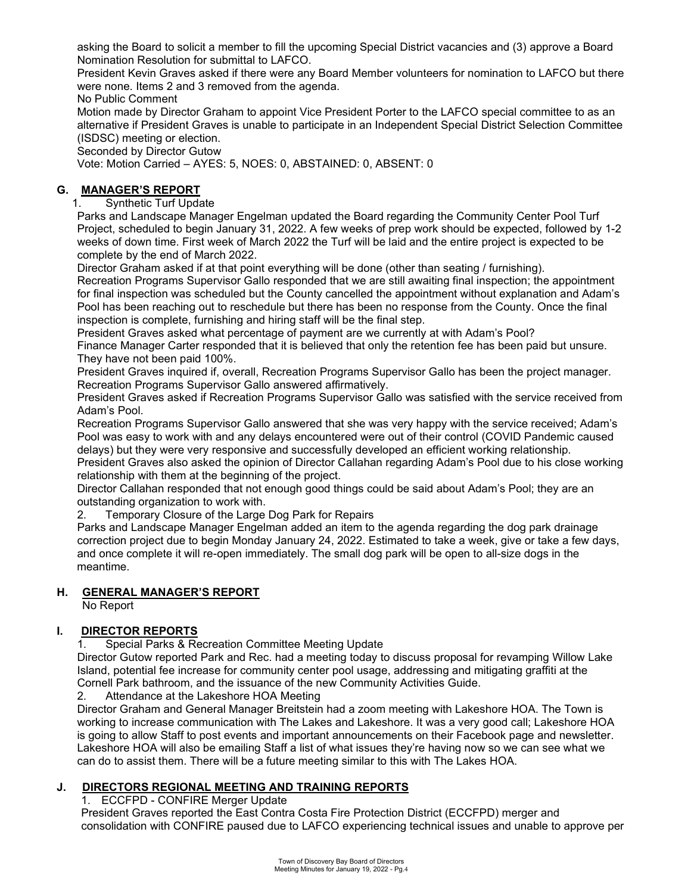asking the Board to solicit a member to fill the upcoming Special District vacancies and (3) approve a Board Nomination Resolution for submittal to LAFCO.

President Kevin Graves asked if there were any Board Member volunteers for nomination to LAFCO but there were none. Items 2 and 3 removed from the agenda.

No Public Comment

Motion made by Director Graham to appoint Vice President Porter to the LAFCO special committee to as an alternative if President Graves is unable to participate in an Independent Special District Selection Committee (ISDSC) meeting or election.

Seconded by Director Gutow

Vote: Motion Carried – AYES: 5, NOES: 0, ABSTAINED: 0, ABSENT: 0

# **G. MANAGER'S REPORT**

1. Synthetic Turf Update

Parks and Landscape Manager Engelman updated the Board regarding the Community Center Pool Turf Project, scheduled to begin January 31, 2022. A few weeks of prep work should be expected, followed by 1-2 weeks of down time. First week of March 2022 the Turf will be laid and the entire project is expected to be complete by the end of March 2022.

Director Graham asked if at that point everything will be done (other than seating / furnishing).

Recreation Programs Supervisor Gallo responded that we are still awaiting final inspection; the appointment for final inspection was scheduled but the County cancelled the appointment without explanation and Adam's Pool has been reaching out to reschedule but there has been no response from the County. Once the final inspection is complete, furnishing and hiring staff will be the final step.

President Graves asked what percentage of payment are we currently at with Adam's Pool?

Finance Manager Carter responded that it is believed that only the retention fee has been paid but unsure. They have not been paid 100%.

President Graves inquired if, overall, Recreation Programs Supervisor Gallo has been the project manager. Recreation Programs Supervisor Gallo answered affirmatively.

President Graves asked if Recreation Programs Supervisor Gallo was satisfied with the service received from Adam's Pool.

Recreation Programs Supervisor Gallo answered that she was very happy with the service received; Adam's Pool was easy to work with and any delays encountered were out of their control (COVID Pandemic caused delays) but they were very responsive and successfully developed an efficient working relationship.

President Graves also asked the opinion of Director Callahan regarding Adam's Pool due to his close working relationship with them at the beginning of the project.

Director Callahan responded that not enough good things could be said about Adam's Pool; they are an outstanding organization to work with.

2. Temporary Closure of the Large Dog Park for Repairs

Parks and Landscape Manager Engelman added an item to the agenda regarding the dog park drainage correction project due to begin Monday January 24, 2022. Estimated to take a week, give or take a few days, and once complete it will re-open immediately. The small dog park will be open to all-size dogs in the meantime.

## **H. GENERAL MANAGER'S REPORT**

No Report

# **I. DIRECTOR REPORTS**

1. Special Parks & Recreation Committee Meeting Update

Director Gutow reported Park and Rec. had a meeting today to discuss proposal for revamping Willow Lake Island, potential fee increase for community center pool usage, addressing and mitigating graffiti at the Cornell Park bathroom, and the issuance of the new Community Activities Guide.

2. Attendance at the Lakeshore HOA Meeting

Director Graham and General Manager Breitstein had a zoom meeting with Lakeshore HOA. The Town is working to increase communication with The Lakes and Lakeshore. It was a very good call; Lakeshore HOA is going to allow Staff to post events and important announcements on their Facebook page and newsletter. Lakeshore HOA will also be emailing Staff a list of what issues they're having now so we can see what we can do to assist them. There will be a future meeting similar to this with The Lakes HOA.

# **J. DIRECTORS REGIONAL MEETING AND TRAINING REPORTS**

## 1. ECCFPD - CONFIRE Merger Update

President Graves reported the East Contra Costa Fire Protection District (ECCFPD) merger and consolidation with CONFIRE paused due to LAFCO experiencing technical issues and unable to approve per